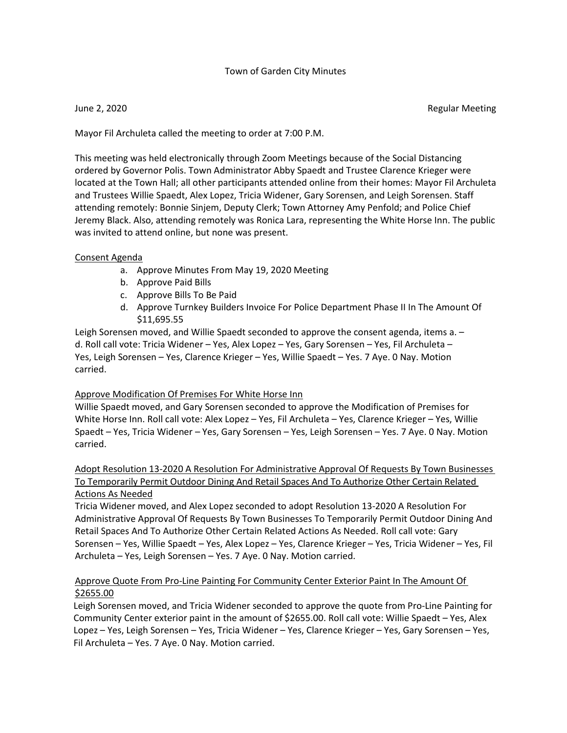## Town of Garden City Minutes

June 2, 2020 Regular Meeting

Mayor Fil Archuleta called the meeting to order at 7:00 P.M.

This meeting was held electronically through Zoom Meetings because of the Social Distancing ordered by Governor Polis. Town Administrator Abby Spaedt and Trustee Clarence Krieger were located at the Town Hall; all other participants attended online from their homes: Mayor Fil Archuleta and Trustees Willie Spaedt, Alex Lopez, Tricia Widener, Gary Sorensen, and Leigh Sorensen. Staff attending remotely: Bonnie Sinjem, Deputy Clerk; Town Attorney Amy Penfold; and Police Chief Jeremy Black. Also, attending remotely was Ronica Lara, representing the White Horse Inn. The public was invited to attend online, but none was present.

## Consent Agenda

- a. Approve Minutes From May 19, 2020 Meeting
- b. Approve Paid Bills
- c. Approve Bills To Be Paid
- d. Approve Turnkey Builders Invoice For Police Department Phase II In The Amount Of \$11,695.55

Leigh Sorensen moved, and Willie Spaedt seconded to approve the consent agenda, items a. – d. Roll call vote: Tricia Widener – Yes, Alex Lopez – Yes, Gary Sorensen – Yes, Fil Archuleta – Yes, Leigh Sorensen – Yes, Clarence Krieger – Yes, Willie Spaedt – Yes. 7 Aye. 0 Nay. Motion carried.

## Approve Modification Of Premises For White Horse Inn

Willie Spaedt moved, and Gary Sorensen seconded to approve the Modification of Premises for White Horse Inn. Roll call vote: Alex Lopez – Yes, Fil Archuleta – Yes, Clarence Krieger – Yes, Willie Spaedt – Yes, Tricia Widener – Yes, Gary Sorensen – Yes, Leigh Sorensen – Yes. 7 Aye. 0 Nay. Motion carried.

# Adopt Resolution 13-2020 A Resolution For Administrative Approval Of Requests By Town Businesses To Temporarily Permit Outdoor Dining And Retail Spaces And To Authorize Other Certain Related Actions As Needed

Tricia Widener moved, and Alex Lopez seconded to adopt Resolution 13-2020 A Resolution For Administrative Approval Of Requests By Town Businesses To Temporarily Permit Outdoor Dining And Retail Spaces And To Authorize Other Certain Related Actions As Needed. Roll call vote: Gary Sorensen – Yes, Willie Spaedt – Yes, Alex Lopez – Yes, Clarence Krieger – Yes, Tricia Widener – Yes, Fil Archuleta – Yes, Leigh Sorensen – Yes. 7 Aye. 0 Nay. Motion carried.

# Approve Quote From Pro-Line Painting For Community Center Exterior Paint In The Amount Of \$2655.00

Leigh Sorensen moved, and Tricia Widener seconded to approve the quote from Pro-Line Painting for Community Center exterior paint in the amount of \$2655.00. Roll call vote: Willie Spaedt – Yes, Alex Lopez – Yes, Leigh Sorensen – Yes, Tricia Widener – Yes, Clarence Krieger – Yes, Gary Sorensen – Yes, Fil Archuleta – Yes. 7 Aye. 0 Nay. Motion carried.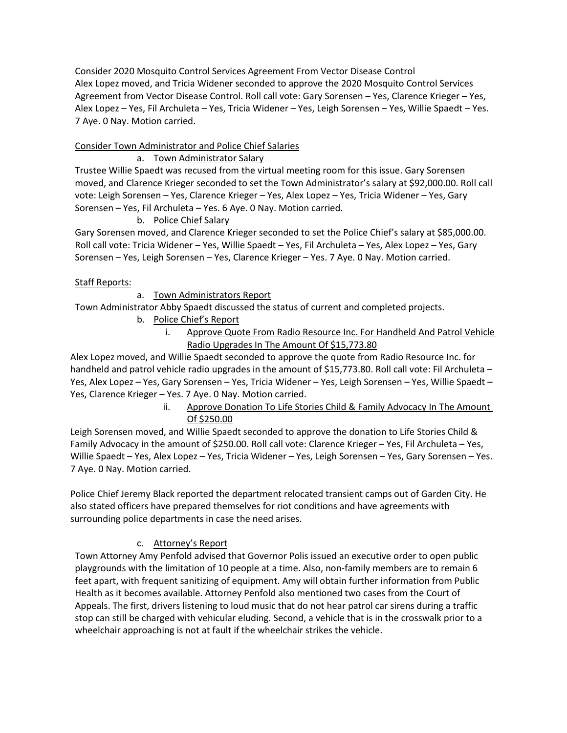Consider 2020 Mosquito Control Services Agreement From Vector Disease Control Alex Lopez moved, and Tricia Widener seconded to approve the 2020 Mosquito Control Services Agreement from Vector Disease Control. Roll call vote: Gary Sorensen – Yes, Clarence Krieger – Yes, Alex Lopez – Yes, Fil Archuleta – Yes, Tricia Widener – Yes, Leigh Sorensen – Yes, Willie Spaedt – Yes. 7 Aye. 0 Nay. Motion carried.

# Consider Town Administrator and Police Chief Salaries

## a. Town Administrator Salary

Trustee Willie Spaedt was recused from the virtual meeting room for this issue. Gary Sorensen moved, and Clarence Krieger seconded to set the Town Administrator's salary at \$92,000.00. Roll call vote: Leigh Sorensen – Yes, Clarence Krieger – Yes, Alex Lopez – Yes, Tricia Widener – Yes, Gary Sorensen – Yes, Fil Archuleta – Yes. 6 Aye. 0 Nay. Motion carried.

# b. Police Chief Salary

Gary Sorensen moved, and Clarence Krieger seconded to set the Police Chief's salary at \$85,000.00. Roll call vote: Tricia Widener – Yes, Willie Spaedt – Yes, Fil Archuleta – Yes, Alex Lopez – Yes, Gary Sorensen – Yes, Leigh Sorensen – Yes, Clarence Krieger – Yes. 7 Aye. 0 Nay. Motion carried.

## Staff Reports:

a. Town Administrators Report

Town Administrator Abby Spaedt discussed the status of current and completed projects.

- b. Police Chief's Report
	- i. Approve Quote From Radio Resource Inc. For Handheld And Patrol Vehicle Radio Upgrades In The Amount Of \$15,773.80

Alex Lopez moved, and Willie Spaedt seconded to approve the quote from Radio Resource Inc. for handheld and patrol vehicle radio upgrades in the amount of \$15,773.80. Roll call vote: Fil Archuleta – Yes, Alex Lopez – Yes, Gary Sorensen – Yes, Tricia Widener – Yes, Leigh Sorensen – Yes, Willie Spaedt – Yes, Clarence Krieger – Yes. 7 Aye. 0 Nay. Motion carried.

> ii. Approve Donation To Life Stories Child & Family Advocacy In The Amount Of \$250.00

Leigh Sorensen moved, and Willie Spaedt seconded to approve the donation to Life Stories Child & Family Advocacy in the amount of \$250.00. Roll call vote: Clarence Krieger – Yes, Fil Archuleta – Yes, Willie Spaedt – Yes, Alex Lopez – Yes, Tricia Widener – Yes, Leigh Sorensen – Yes, Gary Sorensen – Yes. 7 Aye. 0 Nay. Motion carried.

Police Chief Jeremy Black reported the department relocated transient camps out of Garden City. He also stated officers have prepared themselves for riot conditions and have agreements with surrounding police departments in case the need arises.

# c. Attorney's Report

Town Attorney Amy Penfold advised that Governor Polis issued an executive order to open public playgrounds with the limitation of 10 people at a time. Also, non-family members are to remain 6 feet apart, with frequent sanitizing of equipment. Amy will obtain further information from Public Health as it becomes available. Attorney Penfold also mentioned two cases from the Court of Appeals. The first, drivers listening to loud music that do not hear patrol car sirens during a traffic stop can still be charged with vehicular eluding. Second, a vehicle that is in the crosswalk prior to a wheelchair approaching is not at fault if the wheelchair strikes the vehicle.